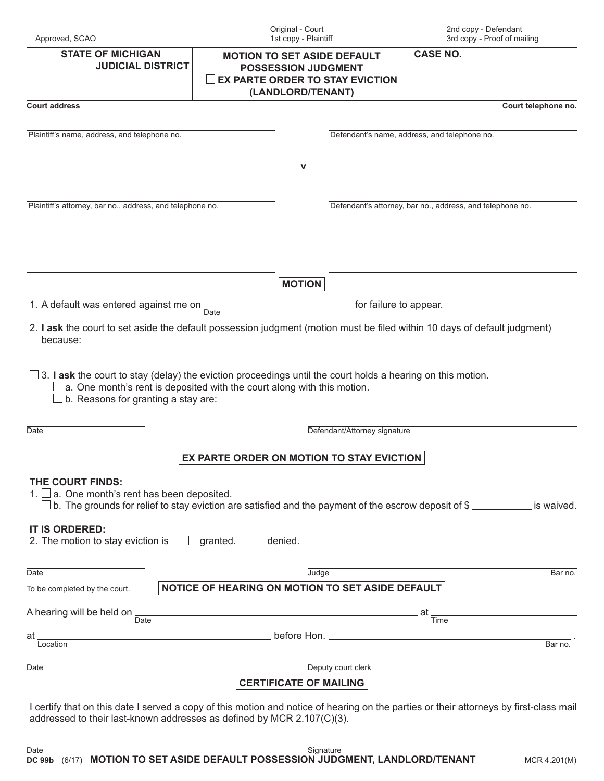| <b>STATE OF MICHIGAN</b><br><b>JUDICIAL DISTRICT</b>                                                                                                                                                                                        | <b>MOTION TO SET ASIDE DEFAULT</b><br><b>POSSESSION JUDGMENT</b><br>EX PARTE ORDER TO STAY EVICTION<br>(LANDLORD/TENANT) |                               | <b>CASE NO.</b>              |                                                                                                      |
|---------------------------------------------------------------------------------------------------------------------------------------------------------------------------------------------------------------------------------------------|--------------------------------------------------------------------------------------------------------------------------|-------------------------------|------------------------------|------------------------------------------------------------------------------------------------------|
| <b>Court address</b>                                                                                                                                                                                                                        |                                                                                                                          |                               |                              | Court telephone no.                                                                                  |
| Plaintiff's name, address, and telephone no.                                                                                                                                                                                                |                                                                                                                          | v                             |                              | Defendant's name, address, and telephone no.                                                         |
|                                                                                                                                                                                                                                             |                                                                                                                          |                               |                              |                                                                                                      |
| Plaintiff's attorney, bar no., address, and telephone no.                                                                                                                                                                                   |                                                                                                                          |                               |                              | Defendant's attorney, bar no., address, and telephone no.                                            |
|                                                                                                                                                                                                                                             |                                                                                                                          | <b>MOTION</b>                 |                              |                                                                                                      |
| 1. A default was entered against me on                                                                                                                                                                                                      | Date                                                                                                                     |                               | for failure to appear.       |                                                                                                      |
| 2. I ask the court to set aside the default possession judgment (motion must be filed within 10 days of default judgment)<br>because:                                                                                                       |                                                                                                                          |                               |                              |                                                                                                      |
| $\Box$ 3. <b>I ask</b> the court to stay (delay) the eviction proceedings until the court holds a hearing on this motion.<br>a. One month's rent is deposited with the court along with this motion.<br>b. Reasons for granting a stay are: |                                                                                                                          |                               |                              |                                                                                                      |
| Date                                                                                                                                                                                                                                        |                                                                                                                          |                               | Defendant/Attorney signature |                                                                                                      |
|                                                                                                                                                                                                                                             | EX PARTE ORDER ON MOTION TO STAY EVICTION                                                                                |                               |                              |                                                                                                      |
| THE COURT FINDS:<br>$\Box$ a. One month's rent has been deposited.<br>IT IS ORDERED:<br>2. The motion to stay eviction is                                                                                                                   | granted.                                                                                                                 | denied.                       |                              | b. The grounds for relief to stay eviction are satisfied and the payment of the escrow deposit of \$ |
| Date                                                                                                                                                                                                                                        |                                                                                                                          | Judge                         |                              | Bar no.                                                                                              |
| To be completed by the court.                                                                                                                                                                                                               | NOTICE OF HEARING ON MOTION TO SET ASIDE DEFAULT                                                                         |                               |                              |                                                                                                      |
| A hearing will be held on<br>$\overline{Date}$                                                                                                                                                                                              |                                                                                                                          |                               |                              | _ at<br>Time                                                                                         |
| <u> 1980 - Johann Barn, fransk politik (d. 1980)</u><br>at                                                                                                                                                                                  |                                                                                                                          |                               |                              |                                                                                                      |
| Location                                                                                                                                                                                                                                    |                                                                                                                          |                               |                              | Bar no.                                                                                              |
| Date                                                                                                                                                                                                                                        |                                                                                                                          |                               | Deputy court clerk           |                                                                                                      |
|                                                                                                                                                                                                                                             |                                                                                                                          | <b>CERTIFICATE OF MAILING</b> |                              |                                                                                                      |
| I certify that on this date I served a copy of this motion and notice of hearing on the parties or their attorneys by first-class mail<br>addressed to their last-known addresses as defined by MCR 2.107(C)(3).                            |                                                                                                                          |                               |                              |                                                                                                      |

Original - Court 1st copy - Plaintiff 2nd copy - Defendant 3rd copy - Proof of mailing

Approved, SCAO

**DC 99b** (6/17) **MOTION TO SET ASIDE DEFAULT POSSESSION JUDGMENT, LANDLORD/TENANT** MCR 4.201(M) Date Signature Signature Signature Signature Signature Signature Signature Signature